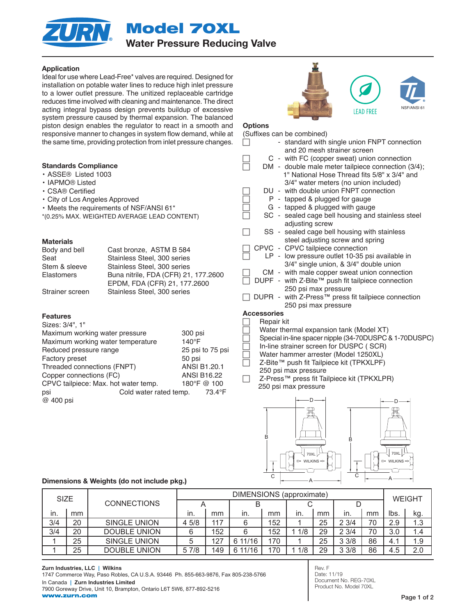Model 70XL Water Pressure Reducing Valve

# Application

Ideal for use where Lead-Free\* valves are required. Designed for installation on potable water lines to reduce high inlet pressure to a lower outlet pressure. The unitized replaceable cartridge reduces time involved with cleaning and maintenance. The direct acting integral bypass design prevents buildup of excessive system pressure caused by thermal expansion. The balanced piston design enables the regulator to react in a smooth and responsive manner to changes in system flow demand, while at the same time, providing prote

### Standards Compliance

- ASSE® Listed 1003
- IAPMO® Listed
- CSA® Certified
- City of Los Angeles Approve
- $\cdot$  Meets the requirements of I
- $*(0.25\%$  MAX. WEIGHTED AVEF

### **Materials**

| Body and bell     | Cast bronze, ASTM B 584              |
|-------------------|--------------------------------------|
| Seat              | Stainless Steel, 300 series          |
| Stem & sleeve     | Stainless Steel, 300 series          |
| <b>Elastomers</b> | Buna nitrile, FDA (CFR) 21, 177.2600 |
|                   | EPDM, FDA (CFR) 21, 177.2600         |
| Strainer screen   | Stainless Steel, 300 series          |

## Features

| Sizes: 3/4", 1"                      |                        |                    |             |
|--------------------------------------|------------------------|--------------------|-------------|
| Maximum working water pressure       |                        | 300 psi            |             |
| Maximum working water temperature    |                        | $140^\circ F$      |             |
| Reduced pressure range               | 25 psi to 75 psi       |                    |             |
| <b>Factory preset</b>                |                        | 50 psi             |             |
| Threaded connections (FNPT)          | ANSI B1.20.1           |                    |             |
| Copper connections (FC)              |                        | <b>ANSI B16.22</b> |             |
| CPVC tailpiece: Max. hot water temp. |                        |                    | 180°F @ 100 |
| psi                                  | Cold water rated temp. |                    | 73.4°F      |
| @ 400 psi                            |                        |                    |             |

# **IFAD FRFF**



#### **Options** (Suffixes can be combined)

|                                        | 5 ili System now genianu, while at | (OUIIIXES CAITUS COITIDITIEU)                                               |
|----------------------------------------|------------------------------------|-----------------------------------------------------------------------------|
|                                        | ction from inlet pressure changes. | - standard with single union FNPT connection<br>and 20 mesh strainer screen |
|                                        |                                    | C - with FC (copper sweat) union connection                                 |
|                                        |                                    | DM - double male meter tailpiece connection (3/4);                          |
|                                        |                                    | 1" National Hose Thread fits 5/8" x 3/4" and                                |
|                                        |                                    | 3/4" water meters (no union included)                                       |
|                                        |                                    | DU - with double union FNPT connection                                      |
| ed                                     |                                    | P - tapped & plugged for gauge                                              |
| NSF/ANSI 61*                           |                                    | G - tapped & plugged with gauge                                             |
|                                        |                                    | SC - sealed cage bell housing and stainless steel                           |
| RAGE LEAD CONTENT)                     |                                    | adjusting screw                                                             |
|                                        |                                    | sealed cage bell housing with stainless<br>SS -                             |
|                                        |                                    | steel adjusting screw and spring                                            |
|                                        |                                    | CPVC - CPVC tailpiece connection                                            |
| onze,ASTM B 584<br>s Steel, 300 series |                                    | LP - low pressure outlet 10-35 psi available in                             |
|                                        |                                    | 3/4" single union, & 3/4" double union                                      |
| s Steel, 300 series                    |                                    | CM - with male copper sweat union connection                                |
|                                        | trile, FDA (CFR) 21, 177.2600      | DUPF - with Z-Bite™ push fit tailpiece connection                           |
| FDA (CFR) 21, 177.2600                 |                                    | 250 psi max pressure                                                        |
| s Steel, 300 series                    |                                    | DUPR - with Z-Press™ press fit tailpiece connection                         |
|                                        |                                    | 250 psi max pressure                                                        |
|                                        |                                    | <b>Accessories</b>                                                          |
|                                        |                                    | Repair kit                                                                  |
|                                        |                                    | Water thermal expansion tank (Model XT)                                     |
| ssure                                  | 300 psi                            | Special in-line spacer nipple (34-70DUSPC & 1-70DUSPC)                      |
| perature                               | 140°F                              | In-line strainer screen for DUSPC (SCR)                                     |
|                                        | 25 psi to 75 psi                   | Water hammer arrester (Model 1250XL)                                        |
|                                        | 50 psi                             | Z-Bite™ push fit Tailpiece kit (TPKXLPF)                                    |
| F)                                     | ANSI B1.20.1                       | 250 psi max pressure                                                        |
|                                        | <b>ANSI B16.22</b>                 | Z-Press™ press fit Tailpiece kit (TPKXLPR)                                  |
| ter temp.                              | 180°F @ 100                        | 250 psi max pressure                                                        |
| d water rated temp.                    | 73.4°F                             |                                                                             |
|                                        |                                    |                                                                             |
|                                        |                                    |                                                                             |
|                                        |                                    |                                                                             |



### Dimensions & Weights (do not include pkg.)

| <b>SIZE</b> |                    |                     | DIMENSIONS (approximate) |     |         |     |     |    |      | <b>WEIGHT</b> |      |     |
|-------------|--------------------|---------------------|--------------------------|-----|---------|-----|-----|----|------|---------------|------|-----|
|             | <b>CONNECTIONS</b> |                     |                          |     |         |     |     |    |      |               |      |     |
| in.         | mm                 |                     | ın.                      | mm  | in.     | mm  | In. | mm | in.  | mm            | lbs. | kg. |
| 3/4         | 20                 | SINGLE UNION        | 4 5/8                    | 117 | 6       | 152 |     | 25 | 23/4 | 70            | 2.9  | 1.3 |
| 3/4         | 20                 | <b>DOUBLE UNION</b> | 6                        | 152 | 6       | 152 | 1/8 | 29 | 23/4 | 70            | 3.0  | 1.4 |
|             | 25                 | SINGLE UNION        | 5                        | 127 | 6 11/16 | 170 |     | 25 | 33/8 | 86            | 4.1  | 1.9 |
|             | 25                 | <b>DOUBLE UNION</b> | 5 7/8                    | 149 | 6 11/16 | 170 | 1/8 | 29 | 33/8 | 86            | 4.5  | 2.0 |

Rev. F Date: 11/19 Document No. REG-70XL Product No. Model 70XL